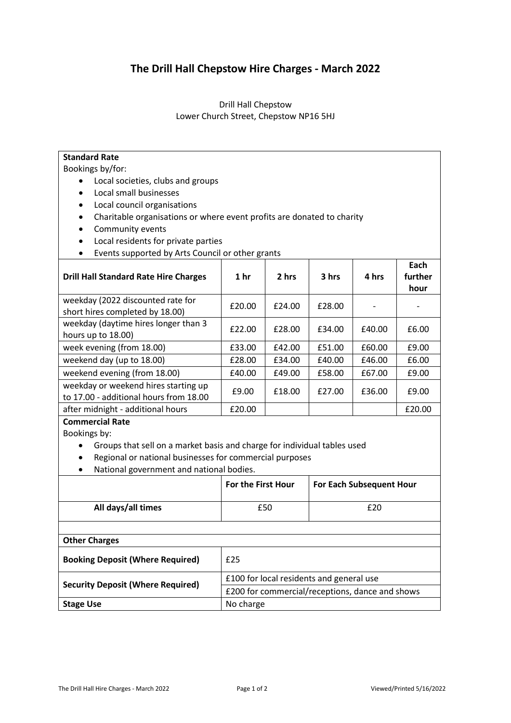## **The Drill Hall Chepstow Hire Charges - March 2022**

## Drill Hall Chepstow Lower Church Street, Chepstow NP16 5HJ

| <b>Standard Rate</b>                                                     |                                          |        |                                                 |        |         |  |
|--------------------------------------------------------------------------|------------------------------------------|--------|-------------------------------------------------|--------|---------|--|
| Bookings by/for:                                                         |                                          |        |                                                 |        |         |  |
| Local societies, clubs and groups                                        |                                          |        |                                                 |        |         |  |
| Local small businesses                                                   |                                          |        |                                                 |        |         |  |
| Local council organisations<br>$\bullet$                                 |                                          |        |                                                 |        |         |  |
| Charitable organisations or where event profits are donated to charity   |                                          |        |                                                 |        |         |  |
| Community events                                                         |                                          |        |                                                 |        |         |  |
| Local residents for private parties<br>$\bullet$                         |                                          |        |                                                 |        |         |  |
| Events supported by Arts Council or other grants                         |                                          |        |                                                 |        |         |  |
|                                                                          |                                          |        |                                                 |        | Each    |  |
| <b>Drill Hall Standard Rate Hire Charges</b>                             | 1 <sub>hr</sub>                          | 2 hrs  | 3 hrs                                           | 4 hrs  | further |  |
|                                                                          |                                          |        |                                                 |        | hour    |  |
| weekday (2022 discounted rate for                                        | £20.00                                   | £24.00 | £28.00                                          |        |         |  |
| short hires completed by 18.00)                                          |                                          |        |                                                 |        |         |  |
| weekday (daytime hires longer than 3                                     | £22.00                                   | £28.00 | £34.00                                          | £40.00 | £6.00   |  |
| hours up to 18.00)                                                       |                                          |        |                                                 |        |         |  |
| week evening (from 18.00)                                                | £33.00                                   | £42.00 | £51.00                                          | £60.00 | £9.00   |  |
| weekend day (up to 18.00)                                                | £28.00                                   | £34.00 | £40.00                                          | £46.00 | £6.00   |  |
| weekend evening (from 18.00)                                             | £40.00                                   | £49.00 | £58.00                                          | £67.00 | £9.00   |  |
| weekday or weekend hires starting up                                     | £9.00                                    | £18.00 | £27.00                                          | £36.00 | £9.00   |  |
| to 17.00 - additional hours from 18.00                                   |                                          |        |                                                 |        |         |  |
| after midnight - additional hours                                        | £20.00                                   |        |                                                 |        | £20.00  |  |
| <b>Commercial Rate</b>                                                   |                                          |        |                                                 |        |         |  |
| Bookings by:                                                             |                                          |        |                                                 |        |         |  |
| Groups that sell on a market basis and charge for individual tables used |                                          |        |                                                 |        |         |  |
| Regional or national businesses for commercial purposes                  |                                          |        |                                                 |        |         |  |
| National government and national bodies.                                 |                                          |        |                                                 |        |         |  |
|                                                                          | For the First Hour                       |        | <b>For Each Subsequent Hour</b>                 |        |         |  |
| All days/all times                                                       | £50                                      |        | £20                                             |        |         |  |
|                                                                          |                                          |        |                                                 |        |         |  |
|                                                                          |                                          |        |                                                 |        |         |  |
| <b>Other Charges</b>                                                     |                                          |        |                                                 |        |         |  |
| <b>Booking Deposit (Where Required)</b>                                  | £25                                      |        |                                                 |        |         |  |
|                                                                          | £100 for local residents and general use |        |                                                 |        |         |  |
|                                                                          |                                          |        |                                                 |        |         |  |
| <b>Security Deposit (Where Required)</b>                                 |                                          |        | £200 for commercial/receptions, dance and shows |        |         |  |